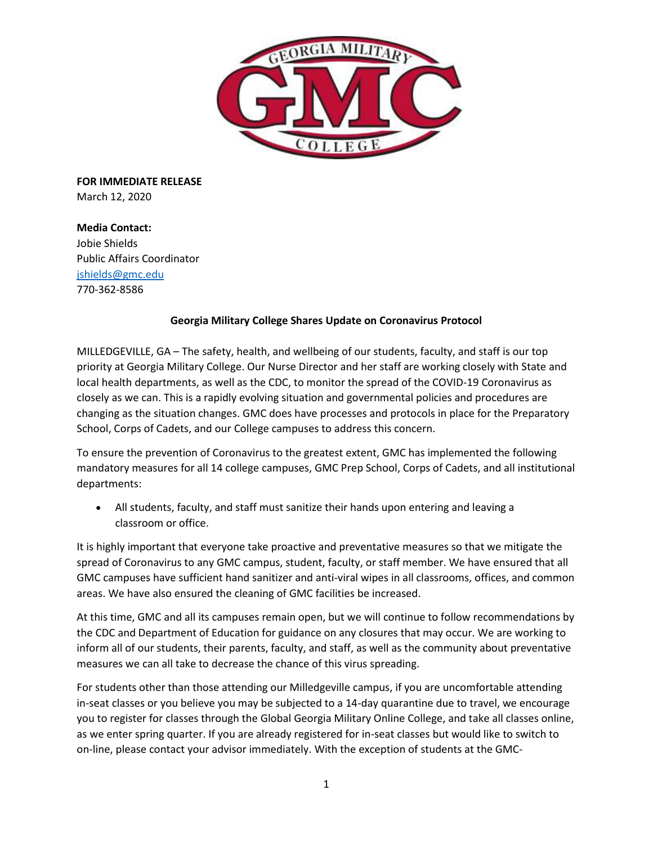

**FOR IMMEDIATE RELEASE**  March 12, 2020

**Media Contact:**  Jobie Shields Public Affairs Coordinator [jshields@gmc.edu](mailto:jshields@gmc.edu) 770-362-8586

# **Georgia Military College Shares Update on Coronavirus Protocol**

MILLEDGEVILLE, GA – The safety, health, and wellbeing of our students, faculty, and staff is our top priority at Georgia Military College. Our Nurse Director and her staff are working closely with State and local health departments, as well as the CDC, to monitor the spread of the COVID-19 Coronavirus as closely as we can. This is a rapidly evolving situation and governmental policies and procedures are changing as the situation changes. GMC does have processes and protocols in place for the Preparatory School, Corps of Cadets, and our College campuses to address this concern.

To ensure the prevention of Coronavirus to the greatest extent, GMC has implemented the following mandatory measures for all 14 college campuses, GMC Prep School, Corps of Cadets, and all institutional departments:

 All students, faculty, and staff must sanitize their hands upon entering and leaving a classroom or office.

It is highly important that everyone take proactive and preventative measures so that we mitigate the spread of Coronavirus to any GMC campus, student, faculty, or staff member. We have ensured that all GMC campuses have sufficient hand sanitizer and anti-viral wipes in all classrooms, offices, and common areas. We have also ensured the cleaning of GMC facilities be increased.

At this time, GMC and all its campuses remain open, but we will continue to follow recommendations by the CDC and Department of Education for guidance on any closures that may occur. We are working to inform all of our students, their parents, faculty, and staff, as well as the community about preventative measures we can all take to decrease the chance of this virus spreading.

For students other than those attending our Milledgeville campus, if you are uncomfortable attending in-seat classes or you believe you may be subjected to a 14-day quarantine due to travel, we encourage you to register for classes through the Global Georgia Military Online College, and take all classes online, as we enter spring quarter. If you are already registered for in-seat classes but would like to switch to on-line, please contact your advisor immediately. With the exception of students at the GMC-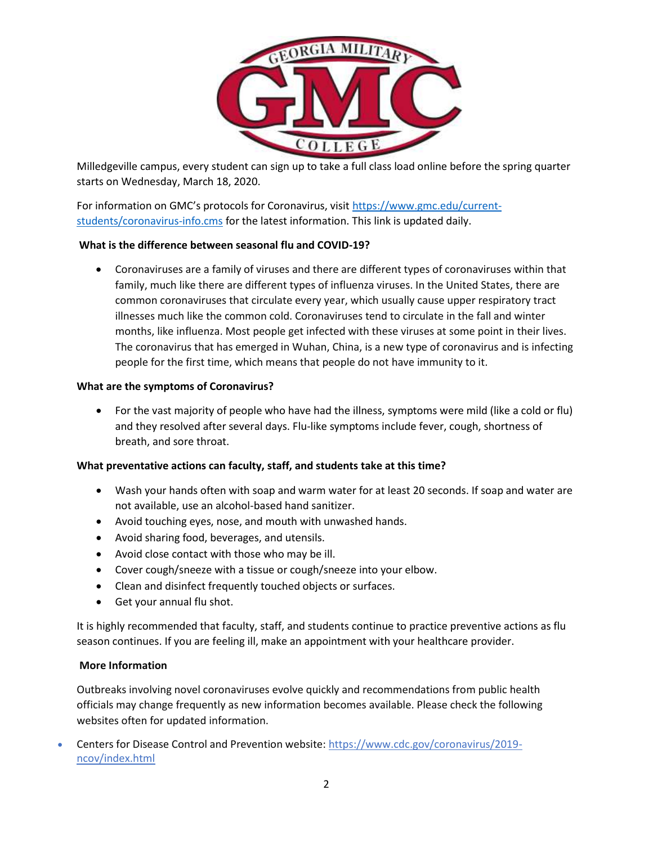

Milledgeville campus, every student can sign up to take a full class load online before the spring quarter starts on Wednesday, March 18, 2020.

For information on GMC's protocols for Coronavirus, visit [https://www.gmc.edu/current](https://www.gmc.edu/current-students/coronavirus-info.cms)[students/coronavirus-info.cms](https://www.gmc.edu/current-students/coronavirus-info.cms) for the latest information. This link is updated daily.

# **What is the difference between seasonal flu and COVID-19?**

 Coronaviruses are a family of viruses and there are different types of coronaviruses within that family, much like there are different types of influenza viruses. In the United States, there are common coronaviruses that circulate every year, which usually cause upper respiratory tract illnesses much like the common cold. Coronaviruses tend to circulate in the fall and winter months, like influenza. Most people get infected with these viruses at some point in their lives. The coronavirus that has emerged in Wuhan, China, is a new type of coronavirus and is infecting people for the first time, which means that people do not have immunity to it.

## **What are the symptoms of Coronavirus?**

 For the vast majority of people who have had the illness, symptoms were mild (like a cold or flu) and they resolved after several days. Flu-like symptoms include fever, cough, shortness of breath, and sore throat.

## **What preventative actions can faculty, staff, and students take at this time?**

- Wash your hands often with soap and warm water for at least 20 seconds. If soap and water are not available, use an alcohol-based hand sanitizer.
- Avoid touching eyes, nose, and mouth with unwashed hands.
- Avoid sharing food, beverages, and utensils.
- Avoid close contact with those who may be ill.
- Cover cough/sneeze with a tissue or cough/sneeze into your elbow.
- Clean and disinfect frequently touched objects or surfaces.
- Get your annual flu shot.

It is highly recommended that faculty, staff, and students continue to practice preventive actions as flu season continues. If you are feeling ill, make an appointment with your healthcare provider.

## **More Information**

Outbreaks involving novel coronaviruses evolve quickly and recommendations from public health officials may change frequently as new information becomes available. Please check the following websites often for updated information.

 Centers for Disease Control and Prevention website: [https://www.cdc.gov/coronavirus/2019](https://www.cdc.gov/coronavirus/2019-ncov/index.html) [ncov/index.html](https://www.cdc.gov/coronavirus/2019-ncov/index.html)